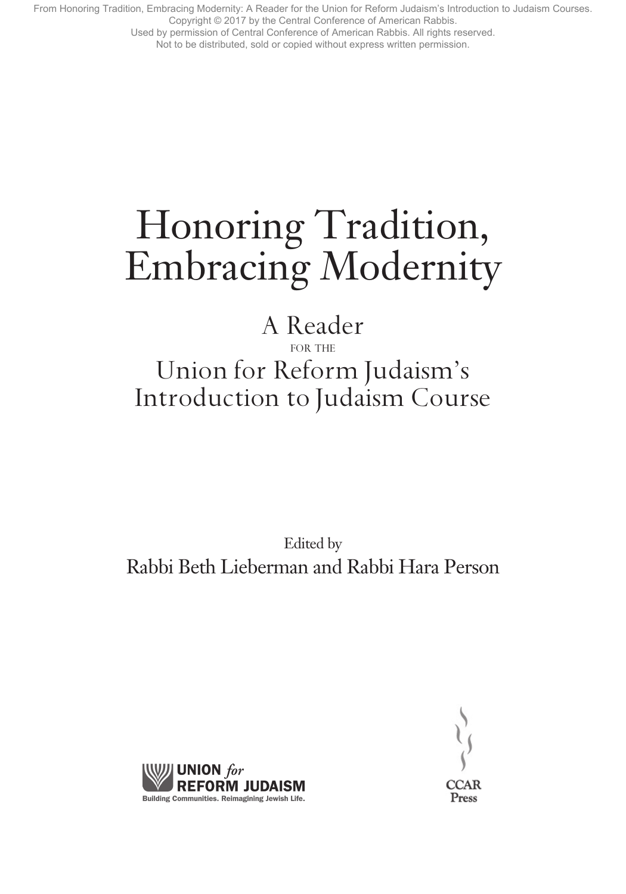Used by permission of Central Conference of American Rabbis. All rights reserved.

#### Not to be distributed, sold or copied without express written permission.

# Honoring Tradition, Embracing Modernity

# A Reader for the Union for Reform Judaism's Introduction to Judaism Course

Edited by Rabbi Beth Lieberman and Rabbi Hara Person



Press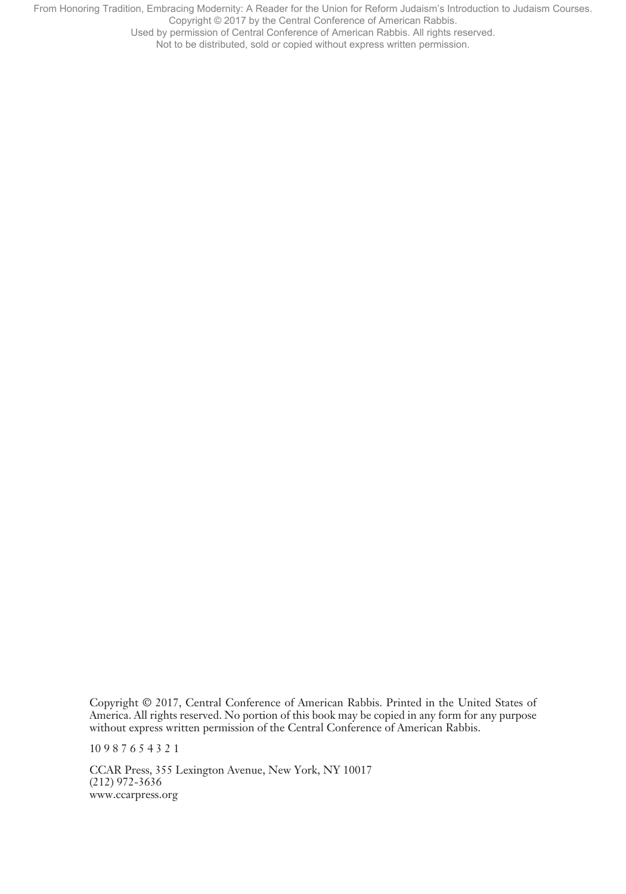Used by permission of Central Conference of American Rabbis. All rights reserved.

Not to be distributed, sold or copied without express written permission.

Copyright © 2017, Central Conference of American Rabbis. Printed in the United States of America. All rights reserved. No portion of this book may be copied in any form for any purpose without express written permission of the Central Conference of American Rabbis.

10 9 8 7 6 5 4 3 2 1

CCAR Press, 355 Lexington Avenue, New York, NY 10017 (212) 972-3636 www.ccarpress.org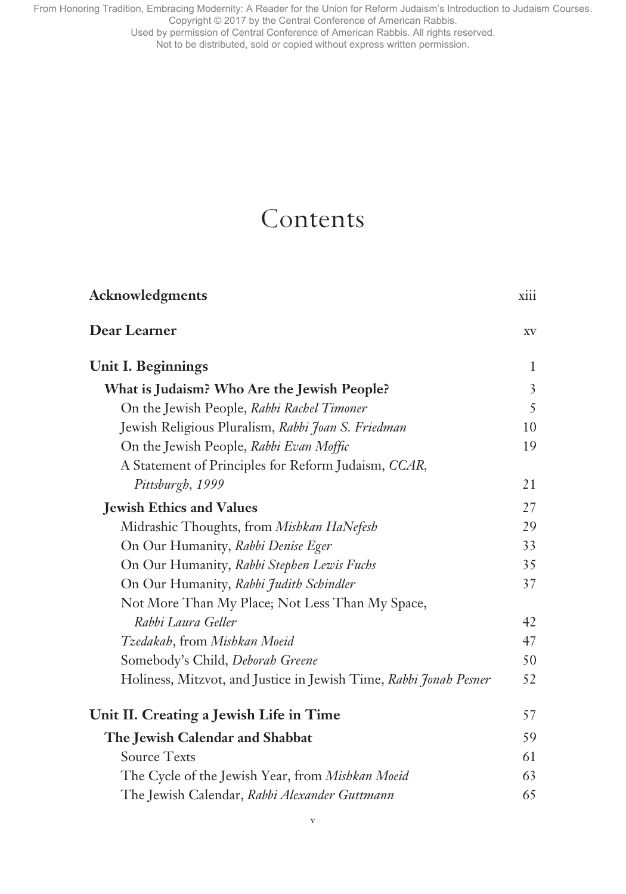Used by permission of Central Conference of American Rabbis. All rights reserved.

Not to be distributed, sold or copied without express written permission.

# Contents

| <b>Acknowledgments</b>                                            | <b>X111</b>    |
|-------------------------------------------------------------------|----------------|
| Dear Learner                                                      | XV             |
| <b>Unit I. Beginnings</b>                                         | 1              |
| What is Judaism? Who Are the Jewish People?                       | $\overline{3}$ |
| On the Jewish People, Rabbi Rachel Timoner                        | 5              |
| Jewish Religious Pluralism, Rabbi Joan S. Friedman                | 10             |
| On the Jewish People, Rabbi Evan Moffic                           | 19             |
| A Statement of Principles for Reform Judaism, CCAR,               |                |
| Pittsburgh, 1999                                                  | 21             |
| <b>Jewish Ethics and Values</b>                                   | 27             |
| Midrashic Thoughts, from Mishkan HaNefesh                         | 29             |
| On Our Humanity, Rabbi Denise Eger                                | 33             |
| On Our Humanity, Rabbi Stephen Lewis Fuchs                        | 35             |
| On Our Humanity, Rabbi Judith Schindler                           | 37             |
| Not More Than My Place; Not Less Than My Space,                   |                |
| Rabbi Laura Geller                                                | 42             |
| Tzedakah, from Mishkan Moeid                                      | 47             |
| Somebody's Child, Deborah Greene                                  | 50             |
| Holiness, Mitzvot, and Justice in Jewish Time, Rabbi Jonah Pesner | 52             |
| Unit II. Creating a Jewish Life in Time                           | 57             |
| The Jewish Calendar and Shabbat                                   | 59             |
| <b>Source Texts</b>                                               | 61             |
| The Cycle of the Jewish Year, from Mishkan Moeid                  | 63             |
| The Jewish Calendar, Rabbi Alexander Guttmann                     | 65             |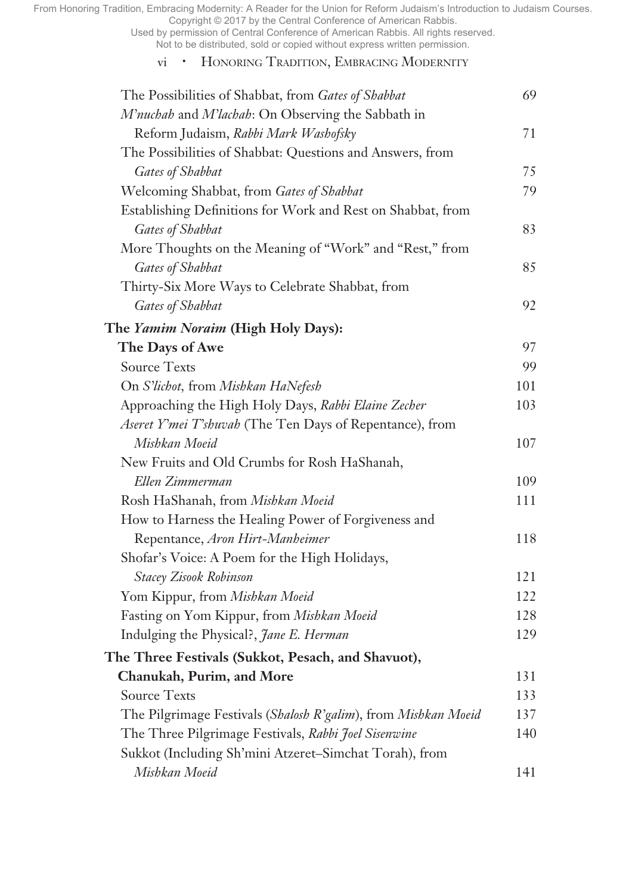Used by permission of Central Conference of American Rabbis. All rights reserved. Not to be distributed, sold or copied without express written permission.

## vi • Honoring Tradition, Embracing Modernity

| The Possibilities of Shabbat, from Gates of Shabbat            | 69  |
|----------------------------------------------------------------|-----|
| M'nuchah and M'lachah: On Observing the Sabbath in             |     |
| Reform Judaism, Rabbi Mark Washofsky                           | 71  |
| The Possibilities of Shabbat: Questions and Answers, from      |     |
| Gates of Shabbat                                               | 75  |
| Welcoming Shabbat, from Gates of Shabbat                       | 79  |
| Establishing Definitions for Work and Rest on Shabbat, from    |     |
| Gates of Shabbat                                               | 83  |
| More Thoughts on the Meaning of "Work" and "Rest," from        |     |
| Gates of Shabbat                                               | 85  |
| Thirty-Six More Ways to Celebrate Shabbat, from                |     |
| Gates of Shabbat                                               | 92  |
| The Yamim Noraim (High Holy Days):                             |     |
| The Days of Awe                                                | 97  |
| <b>Source Texts</b>                                            | 99  |
| On S'lichot, from Mishkan HaNefesh                             | 101 |
| Approaching the High Holy Days, Rabbi Elaine Zecher            | 103 |
| Aseret Y'mei T'shuvah (The Ten Days of Repentance), from       |     |
| Mishkan Moeid                                                  | 107 |
| New Fruits and Old Crumbs for Rosh HaShanah,                   |     |
| Ellen Zimmerman                                                | 109 |
| Rosh HaShanah, from Mishkan Moeid                              | 111 |
| How to Harness the Healing Power of Forgiveness and            |     |
| Repentance, Aron Hirt-Manheimer                                | 118 |
| Shofar's Voice: A Poem for the High Holidays,                  |     |
| <b>Stacey Zisook Robinson</b>                                  | 121 |
| Yom Kippur, from Mishkan Moeid                                 | 122 |
| Fasting on Yom Kippur, from Mishkan Moeid                      | 128 |
| Indulging the Physical?, Jane E. Herman                        | 129 |
| The Three Festivals (Sukkot, Pesach, and Shavuot),             |     |
| Chanukah, Purim, and More                                      | 131 |
| <b>Source Texts</b>                                            | 133 |
| The Pilgrimage Festivals (Shalosh R'galim), from Mishkan Moeid | 137 |
| The Three Pilgrimage Festivals, Rabbi Joel Sisenwine           | 140 |
| Sukkot (Including Sh'mini Atzeret-Simchat Torah), from         |     |
| Mishkan Moeid                                                  | 141 |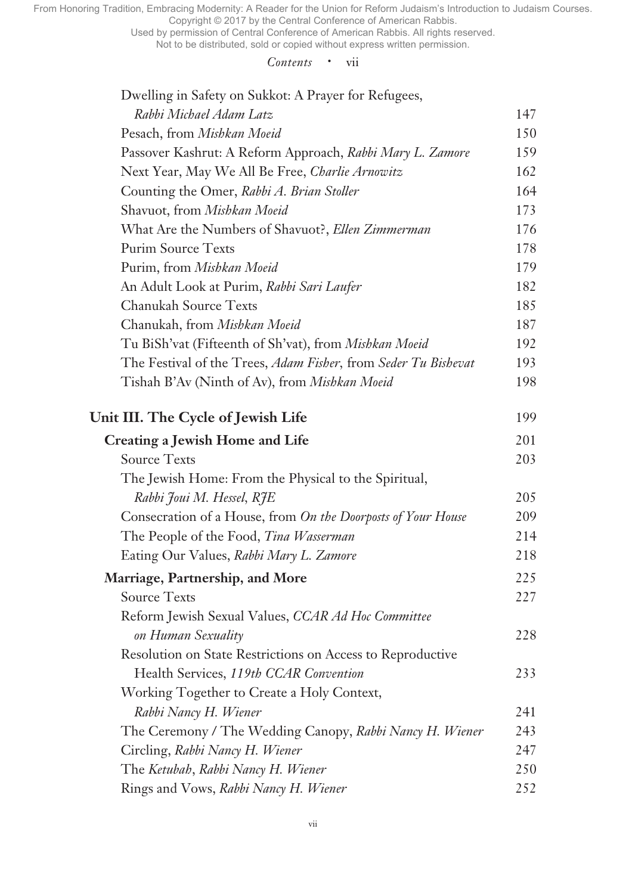Used by permission of Central Conference of American Rabbis. All rights reserved.

Not to be distributed, sold or copied without express written permission.

#### *Contents* • vii

| Dwelling in Safety on Sukkot: A Prayer for Refugees,           |     |
|----------------------------------------------------------------|-----|
| Rabbi Michael Adam Latz                                        | 147 |
| Pesach, from Mishkan Moeid                                     | 150 |
| Passover Kashrut: A Reform Approach, Rabbi Mary L. Zamore      | 159 |
| Next Year, May We All Be Free, Charlie Arnowitz                | 162 |
| Counting the Omer, Rabbi A. Brian Stoller                      | 164 |
| Shavuot, from Mishkan Moeid                                    | 173 |
| What Are the Numbers of Shavuot?, Ellen Zimmerman              | 176 |
| <b>Purim Source Texts</b>                                      | 178 |
| Purim, from Mishkan Moeid                                      | 179 |
| An Adult Look at Purim, Rabbi Sari Laufer                      | 182 |
| <b>Chanukah Source Texts</b>                                   | 185 |
| Chanukah, from Mishkan Moeid                                   | 187 |
| Tu BiSh'vat (Fifteenth of Sh'vat), from Mishkan Moeid          | 192 |
| The Festival of the Trees, Adam Fisher, from Seder Tu Bishevat | 193 |
| Tishah B'Av (Ninth of Av), from Mishkan Moeid                  | 198 |
| Unit III. The Cycle of Jewish Life                             | 199 |
| <b>Creating a Jewish Home and Life</b>                         | 201 |
| <b>Source Texts</b>                                            | 203 |
| The Jewish Home: From the Physical to the Spiritual,           |     |
| Rabbi Joui M. Hessel, RJE                                      | 205 |
| Consecration of a House, from On the Doorposts of Your House   | 209 |
| The People of the Food, Tina Wasserman                         | 214 |
| Eating Our Values, Rabbi Mary L. Zamore                        | 218 |
| Marriage, Partnership, and More                                | 225 |
| <b>Source Texts</b>                                            | 227 |
| Reform Jewish Sexual Values, CCAR Ad Hoc Committee             |     |
| on Human Sexuality                                             | 228 |
| Resolution on State Restrictions on Access to Reproductive     |     |
| Health Services, 119th CCAR Convention                         | 233 |
| Working Together to Create a Holy Context,                     |     |
| Rabbi Nancy H. Wiener                                          | 241 |
| The Ceremony / The Wedding Canopy, Rabbi Nancy H. Wiener       | 243 |
| Circling, Rabbi Nancy H. Wiener                                | 247 |
| The Ketubah, Rabbi Nancy H. Wiener                             | 250 |
| Rings and Vows, Rabbi Nancy H. Wiener                          | 252 |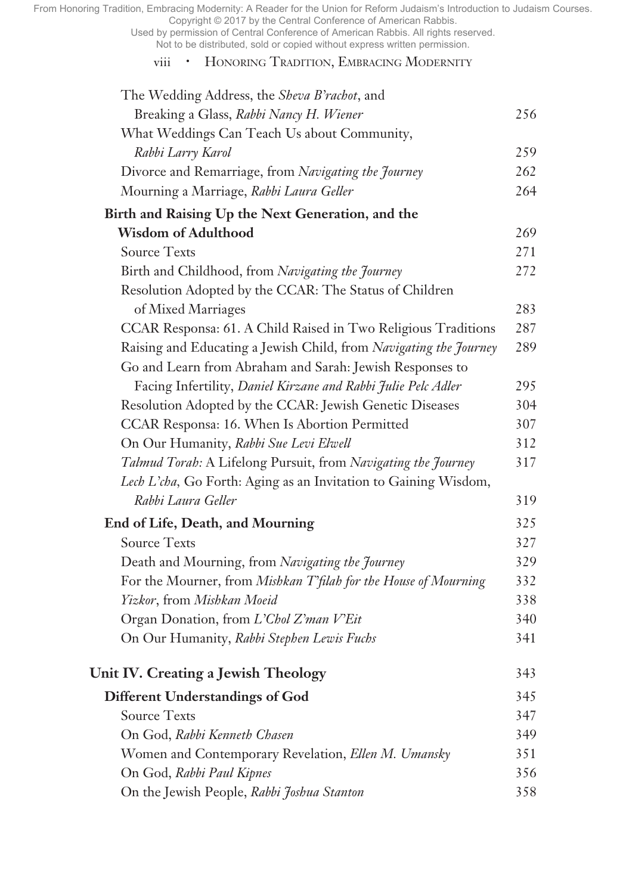Used by permission of Central Conference of American Rabbis. All rights reserved. Not to be distributed, sold or copied without express written permission.

## viii • Honoring Tradition, Embracing Modernity

| The Wedding Address, the Sheva B'rachot, and                      |     |
|-------------------------------------------------------------------|-----|
| Breaking a Glass, Rabbi Nancy H. Wiener                           | 256 |
| What Weddings Can Teach Us about Community,                       |     |
| Rabbi Larry Karol                                                 | 259 |
| Divorce and Remarriage, from Navigating the Journey               | 262 |
| Mourning a Marriage, Rabbi Laura Geller                           | 264 |
| Birth and Raising Up the Next Generation, and the                 |     |
| <b>Wisdom of Adulthood</b>                                        | 269 |
| <b>Source Texts</b>                                               | 271 |
| Birth and Childhood, from Navigating the Journey                  | 272 |
| Resolution Adopted by the CCAR: The Status of Children            |     |
| of Mixed Marriages                                                | 283 |
| CCAR Responsa: 61. A Child Raised in Two Religious Traditions     | 287 |
| Raising and Educating a Jewish Child, from Navigating the Journey | 289 |
| Go and Learn from Abraham and Sarah: Jewish Responses to          |     |
| Facing Infertility, Daniel Kirzane and Rabbi Julie Pelc Adler     | 295 |
| Resolution Adopted by the CCAR: Jewish Genetic Diseases           | 304 |
| CCAR Responsa: 16. When Is Abortion Permitted                     | 307 |
| On Our Humanity, Rabbi Sue Levi Elwell                            | 312 |
| Talmud Torah: A Lifelong Pursuit, from Navigating the Journey     | 317 |
| Lech L'cha, Go Forth: Aging as an Invitation to Gaining Wisdom,   |     |
| Rabbi Laura Geller                                                | 319 |
| <b>End of Life, Death, and Mourning</b>                           | 325 |
| <b>Source Texts</b>                                               | 327 |
| Death and Mourning, from Navigating the Journey                   | 329 |
| For the Mourner, from Mishkan T'filah for the House of Mourning   | 332 |
| Yizkor, from Mishkan Moeid                                        | 338 |
| Organ Donation, from L'Chol Z'man V'Eit                           | 340 |
| On Our Humanity, Rabbi Stephen Lewis Fuchs                        | 341 |
| Unit IV. Creating a Jewish Theology                               | 343 |
| <b>Different Understandings of God</b>                            | 345 |
| <b>Source Texts</b>                                               | 347 |
| On God, Rabbi Kenneth Chasen                                      | 349 |
| Women and Contemporary Revelation, Ellen M. Umansky               | 351 |
| On God, Rabbi Paul Kipnes                                         | 356 |
| On the Jewish People, Rabbi Joshua Stanton                        | 358 |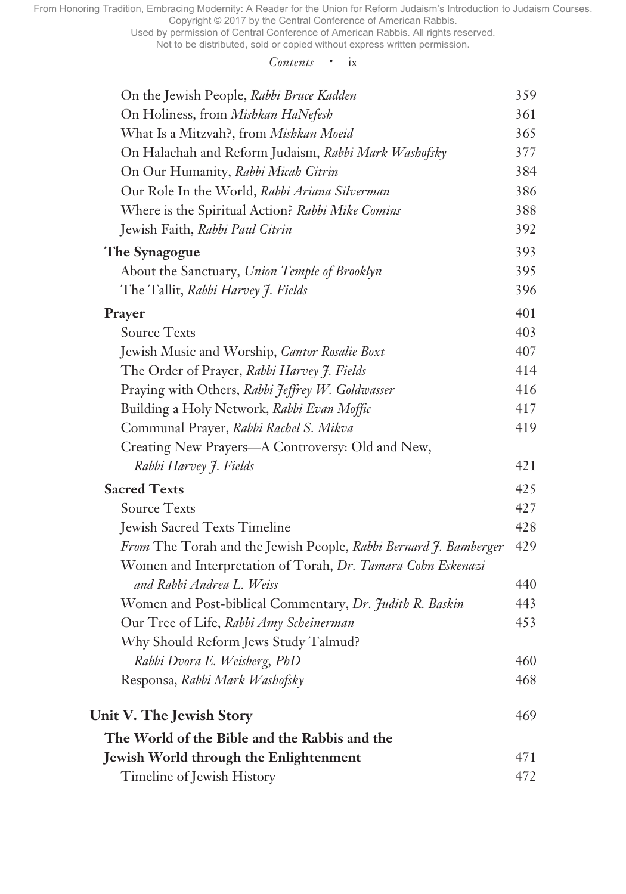Used by permission of Central Conference of American Rabbis. All rights reserved.

Not to be distributed, sold or copied without express written permission.

#### *Contents* • ix

| On the Jewish People, Rabbi Bruce Kadden                         | 359 |
|------------------------------------------------------------------|-----|
| On Holiness, from Mishkan HaNefesh                               | 361 |
| What Is a Mitzvah?, from Mishkan Moeid                           | 365 |
| On Halachah and Reform Judaism, Rabbi Mark Washofsky             | 377 |
| On Our Humanity, Rabbi Micah Citrin                              | 384 |
| Our Role In the World, Rabbi Ariana Silverman                    | 386 |
| Where is the Spiritual Action? Rabbi Mike Comins                 | 388 |
| Jewish Faith, Rabbi Paul Citrin                                  | 392 |
| The Synagogue                                                    | 393 |
| About the Sanctuary, Union Temple of Brooklyn                    | 395 |
| The Tallit, Rabbi Harvey J. Fields                               | 396 |
| Prayer                                                           | 401 |
| <b>Source Texts</b>                                              | 403 |
| Jewish Music and Worship, Cantor Rosalie Boxt                    | 407 |
| The Order of Prayer, Rabbi Harvey J. Fields                      | 414 |
| Praying with Others, Rabbi Jeffrey W. Goldwasser                 | 416 |
| Building a Holy Network, Rabbi Evan Moffic                       | 417 |
| Communal Prayer, Rabbi Rachel S. Mikva                           | 419 |
| Creating New Prayers—A Controversy: Old and New,                 |     |
| Rabbi Harvey J. Fields                                           | 421 |
| <b>Sacred Texts</b>                                              | 425 |
| <b>Source Texts</b>                                              | 427 |
| <b>Jewish Sacred Texts Timeline</b>                              | 428 |
| From The Torah and the Jewish People, Rabbi Bernard J. Bamberger | 429 |
| Women and Interpretation of Torah, Dr. Tamara Cohn Eskenazi      |     |
| and Rabbi Andrea L. Weiss                                        | 440 |
| Women and Post-biblical Commentary, Dr. Judith R. Baskin         | 443 |
| Our Tree of Life, Rabbi Amy Scheinerman                          | 453 |
| Why Should Reform Jews Study Talmud?                             |     |
| Rabbi Dvora E. Weisberg, PhD                                     | 460 |
| Responsa, Rabbi Mark Washofsky                                   | 468 |
| Unit V. The Jewish Story                                         | 469 |
| The World of the Bible and the Rabbis and the                    |     |
| Jewish World through the Enlightenment                           | 471 |
| Timeline of Jewish History                                       | 472 |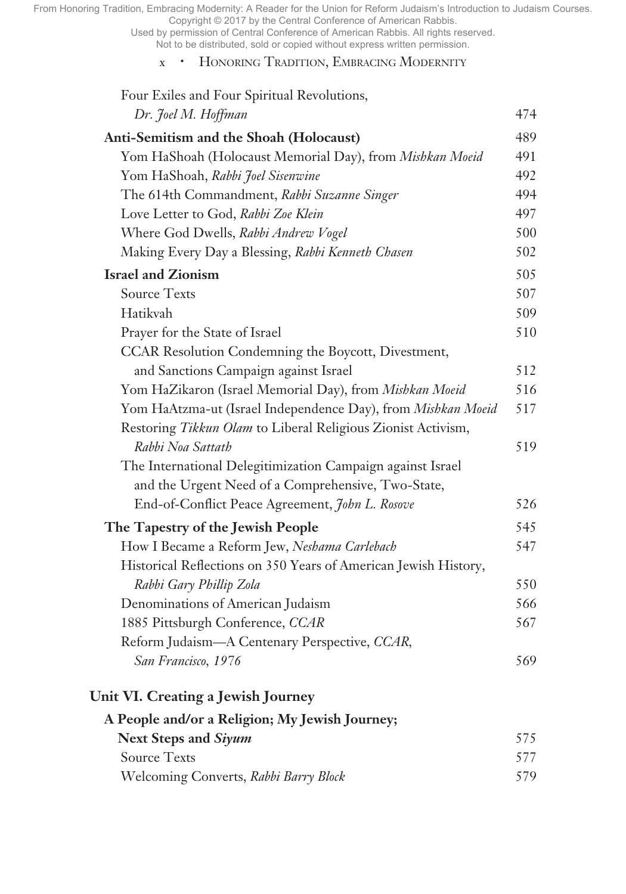Used by permission of Central Conference of American Rabbis. All rights reserved. Not to be distributed, sold or copied without express written permission.

### x • Honoring Tradition, Embracing Modernity

| Four Exiles and Four Spiritual Revolutions,                     |     |
|-----------------------------------------------------------------|-----|
| Dr. Joel M. Hoffman                                             | 474 |
| Anti-Semitism and the Shoah (Holocaust)                         | 489 |
| Yom HaShoah (Holocaust Memorial Day), from Mishkan Moeid        | 491 |
| Yom HaShoah, Rabbi Joel Sisenwine                               | 492 |
| The 614th Commandment, Rabbi Suzanne Singer                     | 494 |
| Love Letter to God, Rabbi Zoe Klein                             | 497 |
| Where God Dwells, Rabbi Andrew Vogel                            | 500 |
| Making Every Day a Blessing, Rabbi Kenneth Chasen               | 502 |
| <b>Israel and Zionism</b>                                       | 505 |
| <b>Source Texts</b>                                             | 507 |
| Hatikvah                                                        | 509 |
| Prayer for the State of Israel                                  | 510 |
| CCAR Resolution Condemning the Boycott, Divestment,             |     |
| and Sanctions Campaign against Israel                           | 512 |
| Yom HaZikaron (Israel Memorial Day), from Mishkan Moeid         | 516 |
| Yom HaAtzma-ut (Israel Independence Day), from Mishkan Moeid    | 517 |
| Restoring Tikkun Olam to Liberal Religious Zionist Activism,    |     |
| Rabbi Noa Sattath                                               | 519 |
| The International Delegitimization Campaign against Israel      |     |
| and the Urgent Need of a Comprehensive, Two-State,              |     |
| End-of-Conflict Peace Agreement, John L. Rosove                 | 526 |
| The Tapestry of the Jewish People                               | 545 |
| How I Became a Reform Jew, Neshama Carlebach                    | 547 |
| Historical Reflections on 350 Years of American Jewish History, |     |
| Rabbi Gary Phillip Zola                                         | 550 |
| Denominations of American Judaism                               | 566 |
| 1885 Pittsburgh Conference, CCAR                                | 567 |
| Reform Judaism-A Centenary Perspective, CCAR,                   |     |
| San Francisco, 1976                                             | 569 |
| Unit VI. Creating a Jewish Journey                              |     |
| A People and/or a Religion; My Jewish Journey;                  |     |
| <b>Next Steps and Siyum</b>                                     | 575 |
| <b>Source Texts</b>                                             | 577 |
| Welcoming Converts, Rabbi Barry Block                           | 579 |
|                                                                 |     |